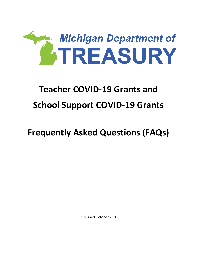

# **Teacher COVID-19 Grants and School Support COVID-19 Grants**

# **Frequently Asked Questions (FAQs)**

Published October 2020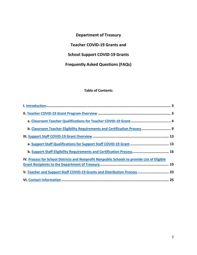# **Department of Treasury**

**Teacher COVID-19 Grants and**

# **School Support COVID-19 Grants**

# **Frequently Asked Questions (FAQs)**

# **Table of Contents**

| b. Classroom Teacher Eligibility Requirements and Certification Process 9                    |  |
|----------------------------------------------------------------------------------------------|--|
|                                                                                              |  |
| a. Support Staff Qualifications for Support Staff COVID-19 Grant  13                         |  |
| b. Support Staff Eligibility Requirements and Certification Process 16                       |  |
| IV. Process for School Districts and Nonprofit Nonpublic Schools to provide List of Eligible |  |
|                                                                                              |  |
| V. Teacher and Support Staff COVID-19 Grants and Distribution Process  23                    |  |
|                                                                                              |  |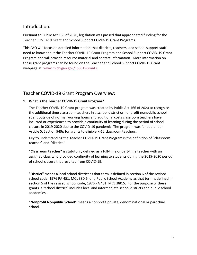# <span id="page-2-0"></span>Introduction:

Pursuant to Public Act 166 of 2020, legislation was passed that appropriated funding for the Teacher COVID-19 Grant and School Support COVID-19 Grant Programs.

This FAQ will focus on detailed information that districts, teachers, and school support staff need to know about the Teacher COVID-19 Grant Program and School Support COVID-19 Grant Program and will provide resource material and contact information. More information on these grant programs can be found on the Teacher and School Support COVID-19 Grant webpage at: [www.michigan.gov/TSSC19Grants.](http://www.michigan.gov/TSSC19Grants)

# <span id="page-2-1"></span>Teacher COVID-19 Grant Program Overview:

# **1. What is the Teacher COVID-19 Grant Program?**

The Teacher COVID-19 Grant program was created by Public Act 166 of 2020 to recognize the additional time classroom teachers in a school district or nonprofit nonpublic school spent outside of normal working hours and additional costs classroom teachers have incurred or experienced to provide a continuity of learning during the period of school closure in 2019-2020 due to the COVID-19 pandemic. The program was funded under Article 5, Section 949p for grants to eligible K-12 classroom teachers.

Key to understanding the Teacher COVID-19 Grant Program is the definition of "classroom teacher" and "district."

**"Classroom teacher"** is statutorily defined as a full-time or part-time teacher with an assigned class who provided continuity of learning to students during the 2019-2020 period of school closure that resulted from COVID-19.

**"District"** means a local school district as that term is defined in section 6 of the revised school code, 1976 PA 451, MCL 380.6, or a Public School Academy as that term is defined in section 5 of the revised school code, 1976 PA 451, MCL 380.5. For the purpose of these grants, a "school district" includes local and intermediate school districts and public school academies.

"**Nonprofit Nonpublic School"** means a nonprofit private, denominational or parochial school.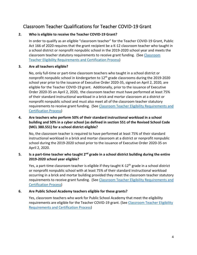# <span id="page-3-0"></span>Classroom Teacher Qualifications for Teacher COVID-19 Grant

# **2. Who is eligible to receive the Teacher COVID-19 Grant?**

In order to qualify as an eligible "classroom teacher" for the Teacher COVID-19 Grant, Public Act 166 of 2020 requires that the grant recipient be a K-12 classroom teacher who taught in a school district or nonprofit nonpublic school in the 2019-2020 school year and meets the classroom teacher statutory requirements to receive grant funding. (See [Classroom](#page-8-0)  [Teacher Eligibility Requirements and Certification Process\)](#page-8-0)

#### **3. Are all teachers eligible?**

No, only full-time or part-time classroom teachers who taught in a school district or nonprofit nonpublic school in kindergarten to 12<sup>th</sup> grade classrooms during the 2019-2020 school year prior to the issuance of Executive Order 2020-35, signed on April 2, 2020, are eligible for the Teacher COVID-19 grant. Additionally, prior to the issuance of Executive Order 2020-35 on April 2, 2020, the classroom teacher must have performed at least 75% of their standard instructional workload in a brick and mortar classroom at a district or nonprofit nonpublic school and must also meet all of the classroom teacher statutory requirements to receive grant funding. (See Classroom Teacher Eligibility Requirements and [Certification Process\)](#page-8-0)

# **4. Are teachers who perform 50% of their standard instructional workload in a school building and 50% in a cyber school (as defined in section 551 of the Revised School Code (MCL 380.551) for a school district eligible?**

No, the classroom teacher is required to have performed at least 75% of their standard instructional workload in a brick and mortar classroom at a district or nonprofit nonpublic school during the 2019-2020 school prior to the issuance of Executive Order 2020-35 on April 2, 2020.

# **5. Is a part-time teacher who taught 2nd grade in a school district building during the entire 2019-2020 school year eligible?**

Yes, a part-time classroom teacher is eligible if they taught K-12<sup>th</sup> grade in a school district or nonprofit nonpublic school with at least 75% of their standard instructional workload occurring in a brick and mortar building provided they meet the classroom teacher statutory requirements to receive grant funding. (See [Classroom Teacher Eligibility Requirements and](#page-8-0)  [Certification Process\)](#page-8-0)

#### **6. Are Public School Academy teachers eligible for these grants?**

Yes, classroom teachers who work for Public School Academy that meet the eligibility requirements are eligible for the Teacher COVID-19 grant. (See [Classroom Teacher Eligibility](#page-8-0)  [Requirements and Certification Process\)](#page-8-0)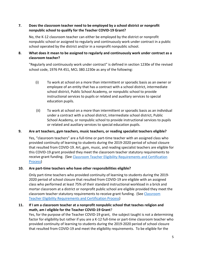## **7. Does the classroom teacher need to be employed by a school district or nonprofit nonpublic school to qualify for the Teacher COVID-19 Grant?**

No, the K-12 classroom teacher can either be employed by the district or nonprofit nonpublic school or assigned to regularly and continuously work under contract in a public school operated by the district and/or in a nonprofit nonpublic school.

# **8. What does it mean to be assigned to regularly and continuously work under contract as a classroom teacher?**

"Regularly and continuously work under contract" is defined in section 1230e of the revised school code, 1976 PA 451, MCL 380.1230e as any of the following:

- (i) To work at school on a more than intermittent or sporadic basis as an owner or employee of an entity that has a contract with a school district, intermediate school district, Public School Academy, or nonpublic school to provide instructional services to pupils or related and auxiliary services to special education pupils.
- (ii) To work at school on a more than intermittent or sporadic basis as an individual under a contract with a school district, intermediate school district, Public School Academy, or nonpublic school to provide instructional services to pupils or related and auxiliary services to special education pupils.

#### **9. Are art teachers, gym teachers, music teachers, or reading specialist teachers eligible?**

Yes, "classroom teachers" are a full-time or part-time teacher with an assigned class who provided continuity of learning to students during the 2019-2020 period of school closure that resulted from COVID-19. Art, gym, music, and reading specialist teachers are eligible for this COVID-19 grant provided they meet the classroom teacher statutory requirements to receive grant funding. (See [Classroom Teacher Eligibility Requirements and Certification](#page-8-0)  [Process\)](#page-8-0)

# **10. Are part-time teachers who have other responsibilities eligible?**

Only part-time teachers who provided continuity of learning to students during the 2019- 2020 period of school closure that resulted from COVID-19 are eligible with an assigned class who performed at least 75% of their standard instructional workload in a brick and mortar classroom at a district or nonprofit public school are eligible provided they meet the classroom teacher statutory requirements to receive grant funding. (See [Classroom](#page-8-0)  [Teacher Eligibility Requirements and Certification Process\)](#page-8-0)

# **11. If I am a classroom teacher at a nonprofit nonpublic school that teaches religion and math, am I eligible for the Teacher COVID-19 Grant**?

Yes, for the purpose of the Teacher COVID-19 grant, the subject taught is not a determining factor for eligibility but rather if you are a K-12 full-time or part-time classroom teacher who provided continuity of learning to students during the 2019-2020 period of school closure that resulted from COVID-19 and meet the eligibility requirements. To be eligible for the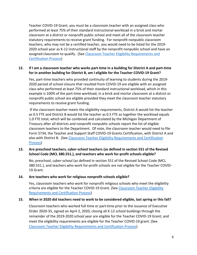Teacher COVID-19 Grant, you must be a classroom teacher with an assigned class who performed at least 75% of their standard instructional workload in a brick and mortar classroom at a district or nonprofit public school and meet all of the classroom teacher statutory requirements to receive grant funding. For nonprofit nonpublic classroom teachers, who may not be a certified teacher, you would need to be listed for the 2019- 2020 school year as K-12 instructional staff by the nonprofit nonpublic school and have an assigned classroom to qualify. (See [Classroom Teacher Eligibility Requirements and](#page-8-0) [Certification Process\)](#page-8-0)

## **12. If I am a classroom teacher who works part-time in a building for District A and part-time for in another building for District B, am I eligible for the Teacher COVID-19 Grant?**

Yes, part-time teachers who provided continuity of learning to students during the 2019- 2020 period of school closure that resulted from COVID-19 are eligible with an assigned class who performed at least 75% of their standard instructional workload, which in this example is 100% of the part-time workload, in a brick and mortar classroom at a district or nonprofit public school are eligible provided they meet the classroom teacher statutory requirements to receive grant funding.

If the classroom teacher meets the eligibility requirements, District A would list the teacher as 0.5 FTE and District B would list the teacher as 0.5 FTE as together the workload equals 1.0 FTE total, which will be combined and calculated by the Michigan Department of Treasury after all districts and nonprofit nonpublic schools report the list of eligible classroom teachers to the Department. Of note, the classroom teacher would need to file Form 5734, the Teacher and Support Staff COVID-19 Grants Certification, with District A and also with District B. (See [Classroom Teacher Eligibility Requirements and Certification](#page-8-0)  [Process\)](#page-8-0)

#### **13. Are preschool teachers, cyber-school teachers (as defined in section 551 of the Revised School Code (MCL 380.551.), and teachers who work for-profit schools eligible?**

No, preschool, cyber-school (as defined in section 551 of the Revised School Code (MCL 380.551.), and teachers who work for-profit schools are not eligible for the Teacher COVID-19 Grant.

#### **14. Are teachers who work for religious nonprofit schools eligible?**

Yes, classroom teachers who work for nonprofit religious schools who meet the eligibility criteria are eligible for the Teacher COVID-19 Grant. (See Classroom Teacher Eligibility [Requirements and Certification Process\)](#page-8-0)

#### **15. When in 2020 did teachers need to work to be considered eligible, last spring or this fall?**

Classroom teachers who worked full-time or part-time prior to the issuance of Executive Order 2020-35, signed on April 2, 2020, closing all K-12 school buildings through the remainder of the 2019-2020 school year are eligible for the Teacher COVID-19 Grant; and meet the eligibility requirements are eligible for the Teacher COVID-19 grant. (See [Classroom Teacher Eligibility Requirements and Certification Process\)](#page-8-0)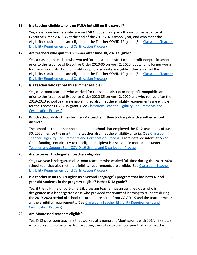#### **16. Is a teacher eligible who is on FMLA but still on the payroll?**

Yes, classroom teachers who are on FMLA, but still on payroll prior to the issuance of Executive Order 2020-35 at the end of the 2019-2020 school year, and who meet the eligibility requirements are eligible for the Teacher COVID-19 grant. (See [Classroom Teacher](#page-8-0)  [Eligibility Requirements and Certification Process\)](#page-8-0)

#### **17. Are teachers who quit this summer after June 30, 2020 eligible?**

Yes, a classroom teacher who worked for the school district or nonprofit nonpublic school prior to the issuance of Executive Order 2020-35 on April 2, 2020, but who no longer works for the school district or nonprofit nonpublic school are eligible if they also met the eligibility requirements are eligible for the Teacher COVID-19 grant. (See Classroom Teacher [Eligibility Requirements and Certification Process\)](#page-8-0)

#### **18. Is a teacher who retired this summer eligible?**

Yes, classroom teachers who worked for the school district or nonprofit nonpublic school prior to the issuance of Executive Order 2020-35 on April 2, 2020 and who retired after the 2019-2020 school year are eligible if they also met the eligibility requirements are eligible for the Teacher COVID-19 grant. (See Classroom Teacher Eligibility Requirements and [Certification Process\)](#page-8-0)

## **19. Which school district files for the K-12 teacher if they took a job with another school district?**

The school district or nonprofit nonpublic school that employed the K-12 teacher as of June 30, 2020 files for the grant, if the teacher also met the eligibility criteria. (See [Classroom](#page-8-0)  [Teacher Eligibility Requirements and Certification Process.](#page-8-0) More detailed information on Grant funding sent directly to the eligible recipient is discussed in more detail under [Teacher and Support Staff COVID-19 Grants and Distribution Process\)](#page-22-0)

#### **20. Are two-year kindergarten teachers eligible?**

Yes, two-year kindergarten classroom teachers who worked full-time during the 2019-2020 school year that also met the eligibility requirements are eligible. (See Classroom Teacher [Eligibility Requirements and Certification Process\)](#page-8-0)

# **21. Is a teacher in an ESL ("English as a Second Language") program that has both 4- and 5 year-old students in the program eligible? Is that K-12 grade?**

Yes, if the full-time or part-time ESL program teacher has an assigned class who is designated as a kindergarten class who provided continuity of learning to students during the 2019-2020 period of school closure that resulted from COVID-19 and the teacher meets all the eligibility requirements. (See Classroom Teacher Eligibility Requirements and [Certification Process\)](#page-8-0)

#### **22. Are Montessori teachers eligible?**

Yes, K-12 classroom teachers that worked at a nonprofit Montessori's with 501(c)(3) status who worked full-time or part-time during the 2019-2020 school year that also met the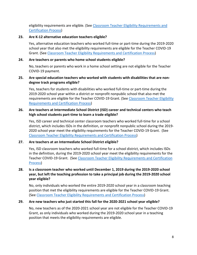eligibility requirements are eligible. (Se[e Classroom Teacher Eligibility Requirements and](#page-8-0)  [Certification Process\)](#page-8-0)

#### **23. Are K-12 alternative education teachers eligible?**

Yes, alternative education teachers who worked full-time or part-time during the 2019-2020 school year that also met the eligibility requirements are eligible for the Teacher COVID-19 Grant. (See [Classroom Teacher Eligibility Requirements and Certification Process\)](#page-8-0)

#### **24. Are teachers or parents who home school students eligible?**

No, teachers or parents who work in a home school setting are not eligible for the Teacher COVID-19 payment.

#### **25. Are special education teachers who worked with students with disabilities that are nondegree track programs eligible?**

Yes, teachers for students with disabilities who worked full-time or part-time during the 2019-2020 school year within a district or nonprofit nonpublic school that also met the requirements are eligible for the Teacher COVID-19 Grant. (See Classroom Teacher Eligibility [Requirements and Certification Process\)](#page-8-0)

## **26. Are teachers at Intermediate School District (ISD) career and technical centers who teach high school students part-time to learn a trade eligible?**

Yes, ISD career and technical center classroom teachers who worked full-time for a school district, which includes ISDs in the definition, or nonprofit nonpublic school during the 2019- 2020 school year meet the eligibility requirements for the Teacher COVID-19 Grant. (See [Classroom Teacher Eligibility Requirements and Certification Process\)](#page-8-0)

#### **27. Are teachers at an Intermediate School District eligible?**

Yes, ISD classroom teachers who worked full-time for a school district, which includes ISDs in the definition, during the 2019-2020 school year meet the eligibility requirements for the Teacher COVID-19 Grant. (See [Classroom Teacher Eligibility Requirements and Certification](#page-8-0)  [Process\)](#page-8-0)

# **28. Is a classroom teacher who worked until December 1, 2019 during the 2019-2020 school year, but left the teaching profession to take a principal job during the 2019-2020 school year eligible?**

No, only individuals who worked the entire 2019-2020 school year in a classroom teaching position that met the eligibility requirements are eligible for the Teacher COVID-19 Grant. (See [Classroom Teacher Eligibility Requirements and Certification Process\)](#page-8-0)

#### **29. Are new teachers who just started this fall for the 2020-2021 school year eligible?**

No, new teachers as of the 2020-2021 school year are not eligible for the Teacher COVID-19 Grant, as only individuals who worked during the 2019-2020 school year in a teaching position that meets the eligibility requirements are eligible.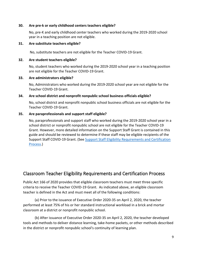#### **30. Are pre-k or early childhood centers teachers eligible?**

No, pre-K and early childhood center teachers who worked during the 2019-2020 school year in a teaching position are not eligible.

#### **31. Are substitute teachers eligible?**

No, substitute teachers are not eligible for the Teacher COVID-19 Grant.

#### **32. Are student teachers eligible?**

No, student teachers who worked during the 2019-2020 school year in a teaching position are not eligible for the Teacher COVID-19 Grant.

#### **33. Are administrators eligible?**

No, Administrators who worked during the 2019-2020 school year are not eligible for the Teacher COVID-19 Grant.

#### **34. Are school district and nonprofit nonpublic school business officials eligible?**

No, school district and nonprofit nonpublic school business officials are not eligible for the Teacher COVID-19 Grant.

#### **35. Are paraprofessionals and support staff eligible?**

No, paraprofessionals and support staff who worked during the 2019-2020 school year in a school district or nonprofit nonpublic school are not eligible for the Teacher COVID-19 Grant. However, more detailed information on the Support Staff Grant is contained in this guide and should be reviewed to determine if these staff may be eligible recipients of the Support Staff COVID-19 Grant. (See Support Staff Eligibility Requirements and Certification [Process.](#page-15-0))

# <span id="page-8-0"></span>Classroom Teacher Eligibility Requirements and Certification Process

Public Act 166 of 2020 provides that eligible classroom teachers must meet three specific criteria to receive the Teacher COVID-19 Grant. As indicated above, an eligible classroom teacher is defined in the Act and must meet all of the following conditions:

(a) Prior to the issuance of Executive Order 2020-35 on April 2, 2020, the teacher performed at least 75% of his or her standard instructional workload in a brick and mortar classroom at a district or nonprofit nonpublic school.

(b) After issuance of Executive Order 2020-35 on April 2, 2020, the teacher developed tools and methods to deliver distance learning, take-home packets, or other methods described in the district or nonprofit nonpublic school's continuity of learning plan.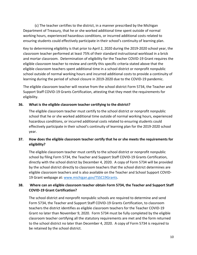(c) The teacher certifies to the district, in a manner prescribed by the Michigan Department of Treasury, that he or she worked additional time spent outside of normal working hours, experienced hazardous conditions, or incurred additional costs related to ensuring students could effectively participate in their school's continuity of learning plan.

Key to determining eligibility is that prior to April 2, 2020 during the 2019-2020 school year, the classroom teacher performed at least 75% of their standard instructional workload in a brick and mortar classroom. Determination of eligibility for the Teacher COVID-19 Grant requires the eligible classroom teacher to review and certify this specific criteria stated above that the eligible classroom teachers spent additional time in a school district or nonprofit nonpublic school outside of normal working hours and incurred additional costs to provide a continuity of learning during the period of school closure in 2019-2020 due to the COVID-19 pandemic.

The eligible classroom teacher will receive from the school district Form 5734, the Teacher and Support Staff COVID-19 Grants Certification, attesting that they meet the requirements for eligibility.

# **36. What is the eligible classroom teacher certifying to the district?**

The eligible classroom teacher must certify to the school district or nonprofit nonpublic school that he or she worked additional time outside of normal working hours, experienced hazardous conditions, or incurred additional costs related to ensuring students could effectively participate in their school's continuity of learning plan for the 2019-2020 school year.

# **37. How does the eligible classroom teacher certify that he or she meets the requirements for eligibility?**

The eligible classroom teacher must certify to the school district or nonprofit nonpublic school by filing Form 5734, the Teacher and Support Staff COVID-19 Grants Certification, directly with the school district by December 4, 2020. A copy of Form 5734 will be provided by the school district directly to classroom teachers that the school district determines are eligible classroom teachers and is also available on the Teacher and School Support COVID-19 Grant webpage at: [www.michigan.gov/TSSC19Grants.](http://www.michigan.gov/TSSC19Grants)

# **38. Where can an eligible classroom teacher obtain Form 5734, the Teacher and Support Staff COVID-19 Grant Certification?**

The school district and nonprofit nonpublic schools are required to determine and send Form 5734, the Teacher and Support Staff COVID-19 Grants Certification, to classroom teachers the district identifies as eligible classroom teachers for the Teacher COVID-19 Grant no later than November 9, 2020. Form 5734 must be fully completed by the eligible classroom teacher certifying all the statutory requirements are met and the form returned to the school district no later than December 4, 2020. A copy of Form 5734 is required to be retained by the school district.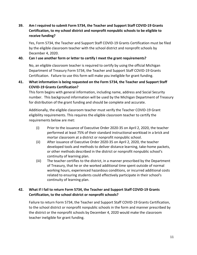# **39. Am I required to submit Form 5734, the Teacher and Support Staff COVID-19 Grants Certification, to my school district and nonprofit nonpublic schools to be eligible to receive funding?**

Yes, Form 5734, the Teacher and Support Staff COVID-19 Grants Certification must be filed by the eligible classroom teacher with the school district and nonprofit schools by December 4, 2020.

## **40. Can I use another form or letter to certify I meet the grant requirements?**

No, an eligible classroom teacher is required to certify by using the official Michigan Department of Treasury Form 5734, the Teacher and Support Staff COVID-19 Grants Certification. Failure to use this form will make you ineligible for grant funding.

# **41. What information is being requested on the Form 5734, the Teacher and Support Staff COVID-19 Grants Certification?**

This form begins with general information, including name, address and Social Security number. This background information will be used by the Michigan Department of Treasury for distribution of the grant funding and should be complete and accurate.

Additionally, the eligible classroom teacher must verify the Teacher COVID-19 Grant eligibility requirements. This requires the eligible classroom teacher to certify the requirements below are met:

- (i) Prior to the issuance of Executive Order 2020-35 on April 2, 2020, the teacher performed at least 75% of their standard instructional workload in a brick and mortar classroom at a district or nonprofit nonpublic school.
- (ii) After issuance of Executive Order 2020-35 on April 2, 2020, the teacher developed tools and methods to deliver distance learning, take-home packets, or other methods described in the district or nonprofit nonpublic school's continuity of learning plan.
- (iii) The teacher certifies to the district, in a manner prescribed by the Department of Treasury, that he or she worked additional time spent outside of normal working hours, experienced hazardous conditions, or incurred additional costs related to ensuring students could effectively participate in their school's continuity of learning plan.

# **42. What if I fail to return Form 5734, the Teacher and Support Staff COVID-19 Grants Certification, to the school district or nonprofit schools?**

Failure to return Form 5734, the Teacher and Support Staff COVID-19 Grants Certification, to the school district or nonprofit nonpublic schools in the form and manner prescribed by the district or the nonprofit schools by December 4, 2020 would make the classroom teacher ineligible for grant funding.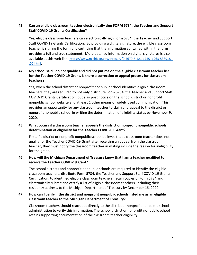# **43. Can an eligible classroom teacher electronically sign FORM 5734, the Teacher and Support Staff COVID-19 Grants Certification?**

Yes, eligible classroom teachers can electronically sign Form 5734, the Teacher and Support Staff COVID-19 Grants Certification. By providing a digital signature, the eligible classroom teacher is signing the form and certifying that the information contained within the form provides a full and true statement. More detailed information on digital signatures is also available at this web link: [https://www.michigan.gov/treasury/0,4679,7-121-1755\\_1963-538918--](https://www.michigan.gov/treasury/0,4679,7-121-1755_1963-538918--,00.html) [,00.html.](https://www.michigan.gov/treasury/0,4679,7-121-1755_1963-538918--,00.html)

# <span id="page-11-0"></span>**44. My school said I do not qualify and did not put me on the eligible classroom teacher list for the Teacher COVID-19 Grant. Is there a correction or appeal process for classroom teachers?**

Yes, when the school district or nonprofit nonpublic school identifies eligible classroom teachers, they are required to not only distribute Form 5734, the Teacher and Support Staff COVID-19 Grants Certification, but also post notice on the school district or nonprofit nonpublic school website and at least 1 other means of widely used communication. This provides an opportunity for any classroom teacher to claim and appeal to the district or nonprofit nonpublic school in writing the determination of eligibility status by November 9, 2020.

# **45. What occurs if a classroom teacher appeals the district or nonprofit nonpublic schools' determination of eligibility for the Teacher COVID-19 Grant?**

First, if a district or nonprofit nonpublic school believes that a classroom teacher does not qualify for the Teacher COVID-19 Grant after receiving an appeal from the classroom teacher, they must notify the classroom teacher in writing include the reason for ineligibility for the grant.

# **46. How will the Michigan Department of Treasury know that I am a teacher qualified to receive the Teacher COVID-19 grant?**

The school districts and nonprofit nonpublic schools are required to identify the eligible classroom teachers, distribute Form 5734, the Teacher and Support Staff COVID-19 Grants Certification, to identified eligible classroom teachers, retain copies of Form 5734 and electronically submit and certify a list of eligible classroom teachers, including their residency address, to the Michigan Department of Treasury by December 16, 2020.

# **47. How can I verify if the district and nonprofit nonpublic schools listed me as an eligible classroom teacher to the Michigan Department of Treasury?**

Classroom teachers should reach out directly to the district or nonprofit nonpublic school administration to verify this information. The school district or nonprofit nonpublic school retains supporting documentation of the classroom teacher eligibility.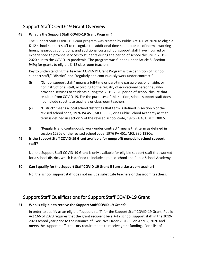# <span id="page-12-0"></span>Support Staff COVID-19 Grant Overview

# **48. What is the Support Staff COVID-19 Grant Program?**

The Support Staff COVID-19 Grant program was created by Public Act 166 of 2020 to eligible K-12 school support staff to recognize the additional time spent outside of normal working hours, hazardous conditions, and additional costs school support staff have incurred or experienced to provide services to students during the period of school closure in 2019- 2020 due to the COVID-19 pandemic. The program was funded under Article 5, Section 949q for grants to eligible K-12 classroom teachers.

Key to understanding the Teacher COVID-19 Grant Program is the definition of "school support staff," "district" and "regularly and continuously work under contract."

- (i) "School support staff" means a full-time or part-time paraprofessional, aide, or noninstructional staff, according to the registry of educational personnel, who provided services to students during the 2019-2020 period of school closure that resulted from COVID-19. For the purposes of this section, school support staff does not include substitute teachers or classroom teachers.
- (ii) "District" means a local school district as that term is defined in section 6 of the revised school code, 1976 PA 451, MCL 380.6, or a Public School Academy as that term is defined in section 5 of the revised school code, 1976 PA 451, MCL 380.5.
- (iii) "Regularly and continuously work under contract" means that term as defined in section 1230e of the revised school code, 1976 PA 451, MCL 380.1230e.

# **49. Is the Support Staff COVID-19 Grant available for nonprofit nonpublic school support staff?**

No, the Support Staff COVID-19 Grant is only available for eligible support staff that worked for a school district, which is defined to include a public school and Public School Academy.

# **50. Can I qualify for the Support Staff COVID-19 Grant if I am a classroom teacher?**

No, the school support staff does not include substitute teachers or classroom teachers.

# <span id="page-12-1"></span>Support Staff Qualifications for Support Staff COVID-19 Grant

# **51. Who is eligible to receive the Support Staff COVID-19 Grant?**

In order to qualify as an eligible "support staff" for the Support Staff COVID-19 Grant, Public Act 166 of 2020 requires that the grant recipient be a K-12 school support staff in the 2019- 2020 school year prior to the issuance of Executive Order 2020-35 on April 2, 2020 and meets the support staff statutory requirements to receive grant funding. For a list of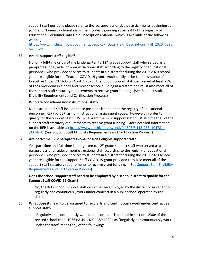support staff positions please refer to the paraprofessional/aide assignments beginning at p. 41 and Non-instructional assignment codes beginning at page 43 of the Registry of Educational Personnel Data Field Descriptions Manual, which is available at the following webpage:

[https://www.michigan.gov/documents/cepi/REP\\_Data\\_Field\\_Descriptions\\_Fall\\_2020\\_6895](https://www.michigan.gov/documents/cepi/REP_Data_Field_Descriptions_Fall_2020_689554_7.pdf) [54\\_7.pdf.](https://www.michigan.gov/documents/cepi/REP_Data_Field_Descriptions_Fall_2020_689554_7.pdf)

## **52. Are all support staff eligible?**

No, only full-time or part-time kindergarten to  $12<sup>th</sup>$  grade support staff who served as a paraprofessional, aide, or noninstructional staff according to the registry of educational personnel, who provided services to students in a district for during the 2019-2020 school year are eligible for the Teacher COVID-19 grant. Additionally, prior to the issuance of Executive Order 2020-35 on April 2, 2020, the school support staff performed at least 75% of their workload in a brick and mortar school building at a district and must also meet all of the support staff statutory requirements to receive grant funding. (See Support Staff Eligibility Requirements and Certification Process.)

#### **53. Who are considered noninstructional staff?**

Noninstructional staff include those positions listed under the registry of educational personnel (REP) by CEPI as non-instructional assignment codes. However, in order to qualify for the Support Staff COVID-19 Grant the K-12 support staff must also meet all of the support staff statutory requirements to receive grant funding. More detailed information on the REP is available at: [https://www.michigan.gov/cepi/0,4546,7-113-986\\_10478---](https://www.michigan.gov/cepi/0,4546,7-113-986_10478---,00.html) [,00.html.](https://www.michigan.gov/cepi/0,4546,7-113-986_10478---,00.html) (See Support Staff Eligibility Requirements and Certification Process.)

#### **54. Are part-time K-12 paraprofessional or aides eligible support staff?**

Yes, part-time and full-time kindergarten to  $12<sup>th</sup>$  grade support staff who served as a paraprofessional, aide, or noninstructional staff according to the registry of educational personnel, who provided services to students in a district for during the 2019-2020 school year are eligible for the Support Staff COVID-19 grant provided they also meet all of the support staff statutory requirements to receive grant funding. (See Support Staff Eligibility [Requirements and Certification Process\)](#page-15-0)

#### **55. Does the school support staff need to be employed by a school district to qualify for the Support Staff COVID-19 Grant?**

No, the K-12 school support staff can either be employed by the district or assigned to regularly and continuously work under contract in a public school operated by the district.

#### **56. What does it mean to be assigned to regularly and continuously work under contract as support staff?**

"Regularly and continuously work under contract" is defined in section 1230e of the revised school code, 1976 PA 451, MCL 380.1230e as "Regularly and continuously work under contract" means any of the following: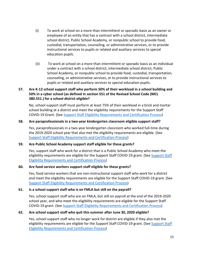- (i) To work at school on a more than intermittent or sporadic basis as an owner or employee of an entity that has a contract with a school district, intermediate school district, Public School Academy, or nonpublic school to provide food, custodial, transportation, counseling, or administrative services, or to provide instructional services to pupils or related and auxiliary services to special education pupils.
- (ii) To work at school on a more than intermittent or sporadic basis as an individual under a contract with a school district, intermediate school district, Public School Academy, or nonpublic school to provide food, custodial, transportation, counseling, or administrative services, or to provide instructional services to pupils or related and auxiliary services to special education pupils.

# **57. Are K-12 school support staff who perform 50% of their workload in a school building and 50% in a cyber school (as defined in section 551 of the Revised School Code (MCL 380.551.) for a school district eligible?**

No, school support staff must perform at least 75% of their workload in a brick and mortar school building at a district and meet the eligibility requirements for the Support Staff COVID-19 Grant. (See [Support Staff Eligibility Requirements and Certification Process\)](#page-15-0)

#### **58. Are paraprofessionals in a two-year kindergarten classroom eligible support staff?**

Yes, paraprofessionals in a two-year kindergarten classroom who worked full-time during the 2019-2020 school year that also met the eligibility requirements are eligible. (See [Support Staff Eligibility Requirements and Certification Process\)](#page-15-0)

#### **59. Are Public School Academy support staff eligible for these grants?**

Yes, support staff who work for a district that is a Public School Academy who meet the eligibility requirements are eligible for the [Support Staff](#page-15-0) COVID-19 grant. (See Support Staff [Eligibility Requirements and Certification Process\)](#page-15-0)

#### **60. Are food service workers support staff eligible for these grants?**

Yes, food service workers that are non-instructional support staff who work for a district and meet the eligibility requirements are eligible for the Support Staff COVID-19 grant. (See [Support Staff Eligibility Requirements and Certification Process\)](#page-15-0)

#### **61. Is a school support staff who is on FMLA but still on the payroll?**

Yes, school support staff who are on FMLA, but still on payroll at the end of the 2019-2020 school year, and who meet the eligibility requirements are eligible for the Support Staff COVID-19 grant. (See [Support Staff Eligibility Requirements and Certification Process\)](#page-15-0)

#### **62. Are school support staff who quit this summer after June 30, 2020 eligible?**

Yes, school support staff who no longer work for district are eligible if they also met the eligibility requirements are eligible for the Support Staff COVID-19 grant. (See [Support Staff](#page-15-0)  [Eligibility Requirements and Certification Process\)](#page-15-0)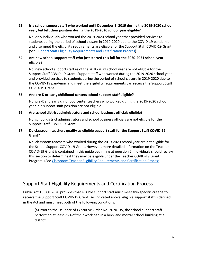#### **63. Is a school support staff who worked until December 1, 2019 during the 2019-2020 school year, but left their position during the 2019-2020 school year eligible?**

No, only individuals who worked the 2019-2020 school year that provided services to students during the period of school closure in 2019-2020 due to the COVID-19 pandemic and also meet the eligibility requirements are eligible for the Support Staff COVID-19 Grant. (See [Support Staff Eligibility Requirements and Certification Process\)](#page-15-0)

# **64. Are new school support staff who just started this fall for the 2020-2021 school year eligible?**

No, new school support staff as of the 2020-2021 school year are not eligible for the Support Staff COVID-19 Grant. Support staff who worked during the 2019-2020 school year and provided services to students during the period of school closure in 2019-2020 due to the COVID-19 pandemic and meet the eligibility requirements can receive the Support Staff COVID-19 Grant.

#### **65. Are pre-K or early childhood centers school support staff eligible?**

No, pre-K and early childhood center teachers who worked during the 2019-2020 school year in a support staff position are not eligible.

#### **66. Are school district administrators and school business officials eligible?**

No, school district administrators and school business officials are not eligible for the Support Staff COVID-19 Grant.

# **67. Do classroom teachers qualify as eligible support staff for the Support Staff COVID-19 Grant?**

No, classroom teachers who worked during the 2019-2020 school year are not eligible for the School Support COVID-19 Grant. However, more detailed information on the Teacher COVID-19 Grant is contained in this guide beginning at question 2. Individuals should review this section to determine if they may be eligible under the Teacher COVID-19 Grant Program. (See [Classroom Teacher Eligibility Requirements and Certification Process\)](#page-8-0)

# <span id="page-15-0"></span>Support Staff Eligibility Requirements and Certification Process

Public Act 166 OF 2020 provides that eligible support staff must meet two specific criteria to receive the Support Staff COVID-19 Grant. As indicated above, eligible support staff is defined in the Act and must meet both of the following conditions:

(a) Prior to the issuance of Executive Order No. 2020- 35, the school support staff performed at least 75% of their workload in a brick and mortar school building at a district.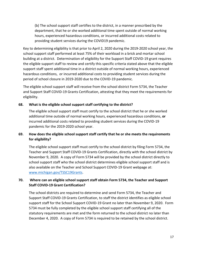(b) The school support staff certifies to the district, in a manner prescribed by the department, that he or she worked additional time spent outside of normal working hours, experienced hazardous conditions, or incurred additional costs related to providing student services during the COVID19 pandemic.

Key to determining eligibility is that prior to April 2, 2020 during the 2019-2020 school year, the school support staff performed at least 75% of their workload in a brick and mortar school building at a district. Determination of eligibility for the Support Staff COVID-19 grant requires the eligible support staff to review and certify this specific criteria stated above that the eligible support staff spent additional time in a district outside of normal working hours, experienced hazardous conditions, or incurred additional costs to providing student services during the period of school closure in 2019-2020 due to the COVID-19 pandemic.

The eligible school support staff will receive from the school district Form 5734, the Teacher and Support Staff COVID-19 Grants Certification, attesting that they meet the requirements for eligibility.

#### **68. What is the eligible school support staff certifying to the district?**

The eligible school support staff must certify to the school district that he or she worked additional time outside of normal working hours, experienced hazardous conditions, **or** incurred additional costs related to providing student services during the COVID-19 pandemic for the 2019-2020 school year.

# **69. How does the eligible school support staff certify that he or she meets the requirements for eligibility?**

The eligible school support staff must certify to the school district by filing Form 5734, the Teacher and Support Staff COVID-19 Grants Certification, directly with the school district by November 9, 2020. A copy of Form 5734 will be provided by the school district directly to school support staff who the school district determines eligible school support staff and is also available on the Teacher and School Support COVID-19 Grant webpage at: [www.michigan.gov/TSSC19Grants.](http://www.michigan.gov/TSSC19Grants)

# **70. Where can an eligible school support staff obtain Form 5734, the Teacher and Support Staff COVID-19 Grant Certification?**

The school districts are required to determine and send Form 5734, the Teacher and Support Staff COVID-19 Grants Certification, to staff the district identifies as eligible school support staff for the School Support COVID-19 Grant no later than November 9, 2020. Form 5734 must be fully completed by the eligible school support staff certifying all of the statutory requirements are met and the form returned to the school district no later than December 4, 2020. A copy of Form 5734 is required to be retained by the school district.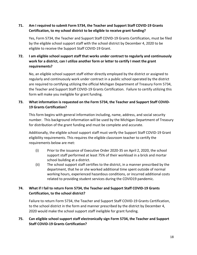# **71. Am I required to submit Form 5734, the Teacher and Support Staff COVID-19 Grants Certification, to my school district to be eligible to receive grant funding?**

Yes, Form 5734, the Teacher and Support Staff COVID-19 Grants Certification, must be filed by the eligible school support staff with the school district by December 4, 2020 to be eligible to receive the Support Staff COVID-19 Grant.

# **72. I am eligible school support staff that works under contract to regularly and continuously work for a district, can I utilize another form or letter to certify I meet the grant requirements?**

No, an eligible school support staff either directly employed by the district or assigned to regularly and continuously work under contract in a public school operated by the district are required to certifying utilizing the official Michigan Department of Treasury Form 5734, the Teacher and Support Staff COVID-19 Grants Certification. Failure to certify utilizing this form will make you ineligible for grant funding.

# **73. What information is requested on the Form 5734, the Teacher and Support Staff COVID-19 Grants Certification?**

This form begins with general information including, name, address, and social security number. This background information will be used by the Michigan Department of Treasury for distribution of the grant funding and must be complete and accurate.

Additionally, the eligible school support staff must verify the Support Staff COVID-19 Grant eligibility requirements. This requires the eligible classroom teacher to certify the requirements below are met:

- (i) Prior to the issuance of Executive Order 2020-35 on April 2, 2020, the school support staff performed at least 75% of their workload in a brick and mortar school building at a district.
- (ii) The school support staff certifies to the district, in a manner prescribed by the department, that he or she worked additional time spent outside of normal working hours, experienced hazardous conditions, or incurred additional costs related to providing student services during the COVID19 pandemic.

# **74. What if I fail to return Form 5734, the Teacher and Support Staff COVID-19 Grants Certification, to the school district?**

Failure to return Form 5734, the Teacher and Support Staff COVID-19 Grants Certification, to the school district in the form and manner prescribed by the district by December 4, 2020 would make the school support staff ineligible for grant funding.

# **75. Can eligible school support staff electronically sign Form 5734, the Teacher and Support Staff COVID-19 Grants Certification?**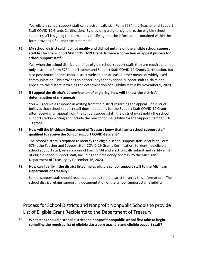Yes, eligible school support staff can electronically sign Form 5734, the Teacher and Support Staff COVID-19 Grants Certification. By providing a digital signature, the eligible school support staff is signing the form and is certifying that the information contained within the form provides a full and true statement.

# **76. My school district said I do not qualify and did not put me on the eligible school support staff list for the Support Staff COVID-19 Grant. Is there a correction or appeal process for school support staff?**

Yes, when the school district identifies eligible school support staff, they are required to not only distribute Form 5734, the Teacher and Support Staff COVID-19 Grants Certification, but also post notice on the school district website and at least 1 other means of widely used communication. This provides an opportunity for any school support staff to claim and appeal to the district in writing the determination of eligibility status by November 9, 2020.

# **77. If I appeal the district's determination of eligibility, how will I know the district's determination of my appeal?**

You will receive a response in writing from the district regarding the appeal. If a district believes that school support staff does not qualify for the Support Staff COVID-19 Grant after receiving an appeal from the school support staff, the district must notify the school support staff in writing and include the reason for ineligibility for the Support Staff COVID-19 grant.

# **78. How will the Michigan Department of Treasury know that I am a school support staff qualified to receive the School Support COVID-19 grant?**

The school district is required to identify the eligible school support staff, distribute Form 5734, the Teacher and Support Staff COVID-19 Grants Certification, to identified eligible school support staff, retain copies of Form 5734 and electronically submit and certify a list of eligible school support staff, including their residency address, to the Michigan Department of Treasury by December 16, 2020.

# **79. How can I verify if the district listed me as eligible school support staff to the Michigan Department of Treasury?**

School support staff should reach out directly to the district to verify this information. The school district retains supporting documentation of the school support staff eligibility.

# <span id="page-18-0"></span>Process for School Districts and Nonprofit Nonpublic Schools to provide List of Eligible Grant Recipients to the Department of Treasury

**80. What steps should a school district and nonprofit nonpublic school first take to begin compiling the required list of eligible classroom teachers and eligible support staff?**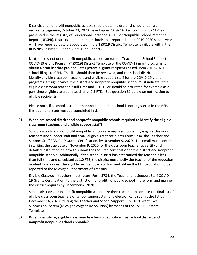Districts and nonprofit nonpublic schools should obtain a draft list of potential grant recipients beginning October 23, 2020, based upon 2019-2020 school filings to CEPI as presented in the Registry of Educational Personnel (REP), or Nonpublic School Personnel Report (NPSPR). Districts and nonpublic schools that reported in the 2019-2020 school year will have reported data prepopulated in the TSSC19 District Template, available within the REP/NPSPR system, under Submission Reports.

Next, the district or nonprofit nonpublic school can run the Teacher and School Support COVID-19 Grant Program (TSSC19) District Template or the COVID-19 grant programs to obtain a draft list that pre-populates potential grant recipients based upon 2019-2020 school filings to CEPI. This list should then be reviewed, and the school district should identify eligible classroom teachers and eligible support staff for the COVID-19 grant programs. Of significance, the district and nonprofit nonpublic school must indicate if the eligible classroom teacher is full-time and 1.0 FTE or should be pro-rated for example as a part-time eligible classroom teacher at 0.5 FTE. (See question 81 below on notification to eligible recipients).

Please note, if a school district or nonprofit nonpublic school is not registered in the REP, this additional step must be completed first.

## **81. When are school district and nonprofit nonpublic schools required to identify the eligible classroom teachers and eligible support staff?**

School districts and nonprofit nonpublic schools are required to identify eligible classroom teachers and support staff and email eligible grant recipients Form 5734, the Teacher and Support Staff COVID-19 Grants Certification, by November 9, 2020. The email must contain in writing the due date of November 9, 2020 for the classroom teacher to certify and detailed instruction on how to submit the required certification to the district and nonprofit nonpublic schools. Additionally, if the school district has determined the teacher is less than full-time and calculated at 1.0 FTE, the district must notify the teacher of the reduction or identify a process the eligible recipient can confirm and obtain the FTE calculation to be reported to the Michigan Department of Treasury.

Eligible Classroom teachers must return Form 5734, the Teacher and Support Staff COVID-19 Grants Certification, to the district or nonprofit nonpublic school in the form and manner the district requires by December 4, 2020.

School districts and nonprofit nonpublic schools are then required to compile the final list of eligible classroom teachers or school support staff and electronically submit the list by December 16, 2020 utilizing the Teacher and School Support COVID-19 Grant Excel Submission System (Michigan eSignature Solution) by means of the TSSC19 District Template.

#### **82. When identifying eligible classroom teachers what notice must school district and nonprofit nonpublic schools provide?**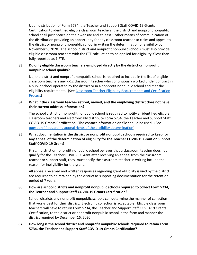Upon distribution of Form 5734, the Teacher and Support Staff COVID-19 Grants Certification to identified eligible classroom teachers, the district and nonprofit nonpublic school shall post notice on their website and at least 1 other means of communication of the distribution providing an opportunity for any classroom teacher to claim and appeal to the district or nonprofit nonpublic school in writing the determination of eligibility by November 9, 2020. The school district and nonprofit nonpublic schools must also provide eligible classroom teachers with the FTE calculation to be applied for eligibility if less than fully reported as 1 FTE.

## **83. Do only eligible classroom teachers employed directly by the district or nonprofit nonpublic school qualify?**

No, the district and nonprofit nonpublic school is required to include in the list of eligible classroom teachers any K-12 classroom teacher who continuously worked under contract in a public school operated by the district or in a nonprofit nonpublic school and met the eligibility requirements. (See [Classroom Teacher Eligibility Requirements and Certification](#page-8-0)  [Process\)](#page-8-0)

# **84. What if the classroom teacher retired, moved, and the employing district does not have their current address information?**

The school district or nonprofit nonpublic school is required to notify all identified eligible classroom teachers and electronically distribute Form 5734, the Teacher and Support Staff COVID-19 Grants Certification. The contact information on file should be used. (See [question 44 regarding appeal rights of the eligibility determination\)](#page-11-0)

# **85. What documentation is the district or nonprofit nonpublic schools required to keep for any appeal of the determination of eligibility for the Teacher COVID-19 Grant or Support Staff COVID-19 Grant?**

First, if district or nonprofit nonpublic school believes that a classroom teacher does not qualify for the Teacher COVID-19 Grant after receiving an appeal from the classroom teacher or support staff, they must notify the classroom teacher in writing include the reason for ineligibility for the grant.

All appeals received and written responses regarding grant eligibility issued by the district are required to be retained by the district as supporting documentation for the retention period of 7 years.

#### **86. How are school districts and nonprofit nonpublic schools required to collect Form 5734, the Teacher and Support Staff COVID-19 Grants Certification?**

School districts and nonprofit nonpublic schools can determine the manner of collection that works best for their district. Electronic collection is acceptable. Eligible classroom teachers will have to return Form 5734, the Teacher and Support Staff COVID-19 Grants Certification, to the district or nonprofit nonpublic school in the form and manner the district required by December 16, 2020.

# **87. How long is the school district and nonprofit nonpublic schools required to retain Form 5734, the Teacher and Support Staff COVID-19 Grants Certification?**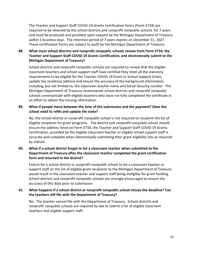The Teacher and Support Staff COVID-19 Grants Certification forms (Form 5734) are required to be retained by the school districts and nonprofit nonpublic schools for 7 years and must be produced and provided upon request by the Michigan Department of Treasury within 5 business days. The retention period of 7 years expires on December 31, 2027. These certification forms are subject to audit by the Michigan Department of Treasury.

# **88. What must school districts and nonprofit nonpublic schools review from Form 5734, the Teacher and Support Staff COVID-19 Grants Certification, and electronically submit to the Michigan Department of Treasury?**

School districts and nonprofit nonpublic schools are required to review that the eligible classroom teachers and school support staff have certified they meet all the statutory requirements to be eligible for the Teacher COVID-19 Grant or School Support Grant, update the residency address and ensure the accuracy of the background information, including, but not limited to, the classroom teacher name and Social Security number. The Michigan Department of Treasury recommends school districts and nonprofit nonpublic schools communicate with eligible teachers who have not fully completed the certificate in an effort to obtain the missing information.

## **89. What if people move between the time of the submission and the payment? Does the school need to refile and update the state?**

No, the school district or nonprofit nonpublic school is not required to resubmit the list of eligible recipients for grant programs. The district and nonprofit nonpublic school should ensure the address listed on Form 5734, the Teacher and Support Staff COVID-19 Grants Certification, provided by the eligible classroom teacher or eligible school support staff is accurate and complete when electronically submitting their grant eligibility lists as required by statute.

# **90. What if a school district forgot to list a classroom teacher when submitted to the Department of Treasury after the classroom teacher completed the grant certification form and returned to the district?**

Failure for a school district or nonprofit nonpublic school to list a classroom teacher or support staff on the list of eligible grant recipients to the Michigan Department of Treasury would result in the classroom teacher and support staff being ineligible for grant funding. School districts and nonprofit nonpublic schools are strongly encouraged to ensure the accuracy of this data prior to submission.

# **91. What happens if a school district or nonprofit nonpublic school misses the deadline? Can the teachers still file with the Department of Treasury?**

No. The teacher cannot file with the Department of Treasury. School districts and nonprofit nonpublic schools are required by law to submit a list of eligible classroom teachers and eligible support staff.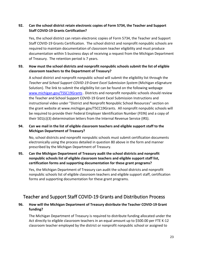# **92. Can the school district retain electronic copies of Form 5734, the Teacher and Support Staff COVID-19 Grants Certification?**

Yes, the school district can retain electronic copies of Form 5734, the Teacher and Support Staff COVID-19 Grants Certification. The school district and nonprofit nonpublic schools are required to maintain documentation of classroom teacher eligibility and must produce documentation within 5 business days of receiving a request from the Michigan Department of Treasury. The retention period is 7 years.

# **93. How must the school districts and nonprofit nonpublic schools submit the list of eligible classroom teachers to the Department of Treasury?**

A school district and nonprofit nonpublic school will submit the eligibility list through the *Teacher and School Support COVID-19 Grant Excel Submission System* (Michigan eSignature Solution). The link to submit the eligibility list can be found on the following webpage [www.michigan.gov/TSSC19Grants](http://www.michigan.gov/TSSC19Grants) . Districts and nonprofit nonpublic schools should review the Teacher and School Support COVID-19 Grant Excel Submission Instructions and instructional video under "District and Nonprofit Nonpublic School Resources" section on the grant website at [www.michigan.gov/TSCC19Grants.](https://www.michigan.gov/TSCC19Grants) All nonprofit nonpublic schools will be required to provide their Federal Employer Identification Number (FEIN) and a copy of their 501(c)(3) determination letters from the Internal Revenue Service (IRS).

# **94. Can we mail in the list of eligible classroom teachers and eligible support staff to the Michigan Department of Treasury?**

No, school districts and nonprofit nonpublic schools must submit certification documents electronically using the process detailed in question 80 above in the form and manner prescribed by the Michigan Department of Treasury.

# **95. Can the Michigan Department of Treasury audit the school districts and nonprofit nonpublic schools list of eligible classroom teachers and eligible support staff list, certification forms and supporting documentation for these grant programs?**

Yes, the Michigan Department of Treasury can audit the school districts and nonprofit nonpublic schools list of eligible classroom teachers and eligible support staff, certification forms and supporting documentation for these grant programs.

# <span id="page-22-0"></span>Teacher and Support Staff COVID-19 Grants and Distribution Process

# **96. How will the Michigan Department of Treasury distribute the Teacher COVID-19 Grant funding?**

The Michigan Department of Treasury is required to distribute funding allocated under the Act directly to eligible classroom teachers in an equal amount up to \$500.00 per FTE K-12 classroom teacher employed by the district or nonprofit nonpublic school or assigned to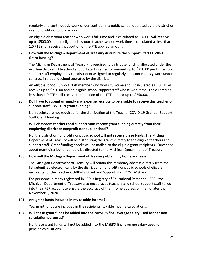regularly and continuously work under contract in a public school operated by the district or in a nonprofit nonpublic school.

An eligible classroom teacher who works full-time and is calculated as 1.0 FTE will receive up to \$500.00 and an eligible classroom teacher whose work time is calculated as less than 1.0 FTE shall receive that portion of the FTE applied amount.

# **97. How will the Michigan Department of Treasury distribute the Support Staff COVID-19 Grant funding?**

The Michigan Department of Treasury is required to distribute funding allocated under the Act directly to eligible school support staff in an equal amount up to \$250.00 per FTE school support staff employed by the district or assigned to regularly and continuously work under contract in a public school operated by the district.

An eligible school support staff member who works full-time and is calculated as 1.0 FTE will receive up to \$250.00 and an eligible school support staff whose work time is calculated as less than 1.0 FTE shall receive that portion of the FTE applied up to \$250.00.

#### **98. Do I have to submit or supply any expense receipts to be eligible to receive this teacher or support staff COVID-19 grant funding?**

No, receipts are not required for the distribution of the Teacher COVID-19 Grant or Support Staff Grant funding.

#### **99. Will classroom teachers and support staff receive grant funding directly from their employing district or nonprofit nonpublic school?**

No, the district or nonprofit nonpublic school will not receive these funds. The Michigan Department of Treasury will be distributing the grants directly to the eligible teachers and support staff. Grant funding checks will be mailed to the eligible grant recipients. Questions about grant distributions should be directed to the Michigan Department of Treasury.

#### **100. How will the Michigan Department of Treasury obtain my home address?**

The Michigan Department of Treasury will obtain this residency address directly from the list submitted electronically by the district and nonprofit nonpublic schools of eligible recipients for the Teacher COVID-19 Grant and Support Staff COVID-19 Grant.

For personnel already registered in CEPI's Registry of Educational Personnel (REP), the Michigan Department of Treasury also encourages teachers and school support staff to log into their REP account to ensure the accuracy of their home address on file no later than November 9, 2020.

#### **101. Are grant funds included in my taxable income?**

Yes, grant funds are included in the recipients' taxable income calculations.

#### **102. Will these grant funds be added into the MPSERS final average salary used for pension calculation purposes?**

No, these grant funds will not be added into the MSERS final average salary used for pension calculations.